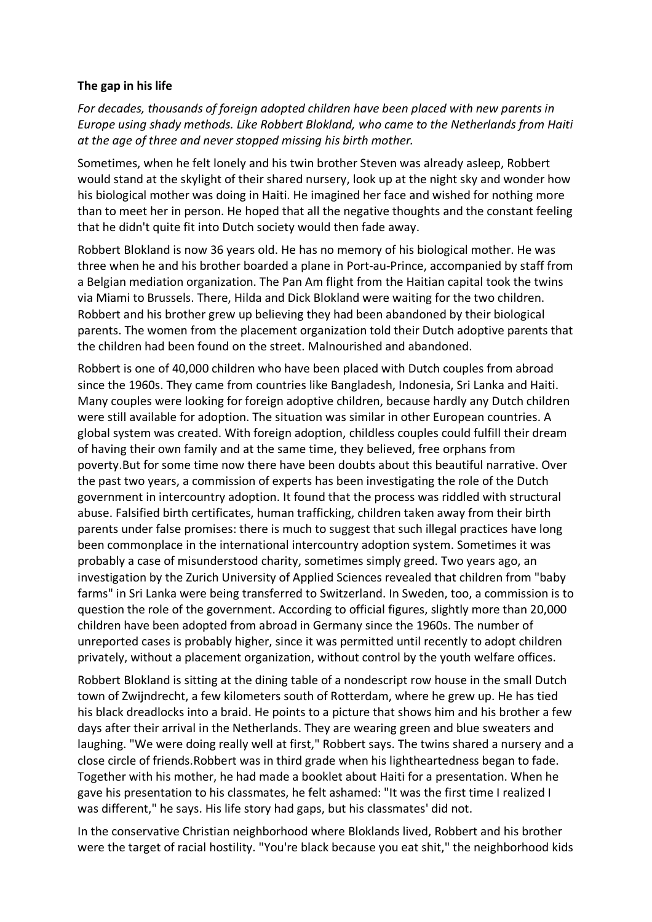## **The gap in his life**

*For decades, thousands of foreign adopted children have been placed with new parents in Europe using shady methods. Like Robbert Blokland, who came to the Netherlands from Haiti at the age of three and never stopped missing his birth mother.*

Sometimes, when he felt lonely and his twin brother Steven was already asleep, Robbert would stand at the skylight of their shared nursery, look up at the night sky and wonder how his biological mother was doing in Haiti. He imagined her face and wished for nothing more than to meet her in person. He hoped that all the negative thoughts and the constant feeling that he didn't quite fit into Dutch society would then fade away.

Robbert Blokland is now 36 years old. He has no memory of his biological mother. He was three when he and his brother boarded a plane in Port-au-Prince, accompanied by staff from a Belgian mediation organization. The Pan Am flight from the Haitian capital took the twins via Miami to Brussels. There, Hilda and Dick Blokland were waiting for the two children. Robbert and his brother grew up believing they had been abandoned by their biological parents. The women from the placement organization told their Dutch adoptive parents that the children had been found on the street. Malnourished and abandoned.

Robbert is one of 40,000 children who have been placed with Dutch couples from abroad since the 1960s. They came from countries like Bangladesh, Indonesia, Sri Lanka and Haiti. Many couples were looking for foreign adoptive children, because hardly any Dutch children were still available for adoption. The situation was similar in other European countries. A global system was created. With foreign adoption, childless couples could fulfill their dream of having their own family and at the same time, they believed, free orphans from poverty.But for some time now there have been doubts about this beautiful narrative. Over the past two years, a commission of experts has been investigating the role of the Dutch government in intercountry adoption. It found that the process was riddled with structural abuse. Falsified birth certificates, human trafficking, children taken away from their birth parents under false promises: there is much to suggest that such illegal practices have long been commonplace in the international intercountry adoption system. Sometimes it was probably a case of misunderstood charity, sometimes simply greed. Two years ago, an investigation by the Zurich University of Applied Sciences revealed that children from "baby farms" in Sri Lanka were being transferred to Switzerland. In Sweden, too, a commission is to question the role of the government. According to official figures, slightly more than 20,000 children have been adopted from abroad in Germany since the 1960s. The number of unreported cases is probably higher, since it was permitted until recently to adopt children privately, without a placement organization, without control by the youth welfare offices.

Robbert Blokland is sitting at the dining table of a nondescript row house in the small Dutch town of Zwijndrecht, a few kilometers south of Rotterdam, where he grew up. He has tied his black dreadlocks into a braid. He points to a picture that shows him and his brother a few days after their arrival in the Netherlands. They are wearing green and blue sweaters and laughing. "We were doing really well at first," Robbert says. The twins shared a nursery and a close circle of friends.Robbert was in third grade when his lightheartedness began to fade. Together with his mother, he had made a booklet about Haiti for a presentation. When he gave his presentation to his classmates, he felt ashamed: "It was the first time I realized I was different," he says. His life story had gaps, but his classmates' did not.

In the conservative Christian neighborhood where Bloklands lived, Robbert and his brother were the target of racial hostility. "You're black because you eat shit," the neighborhood kids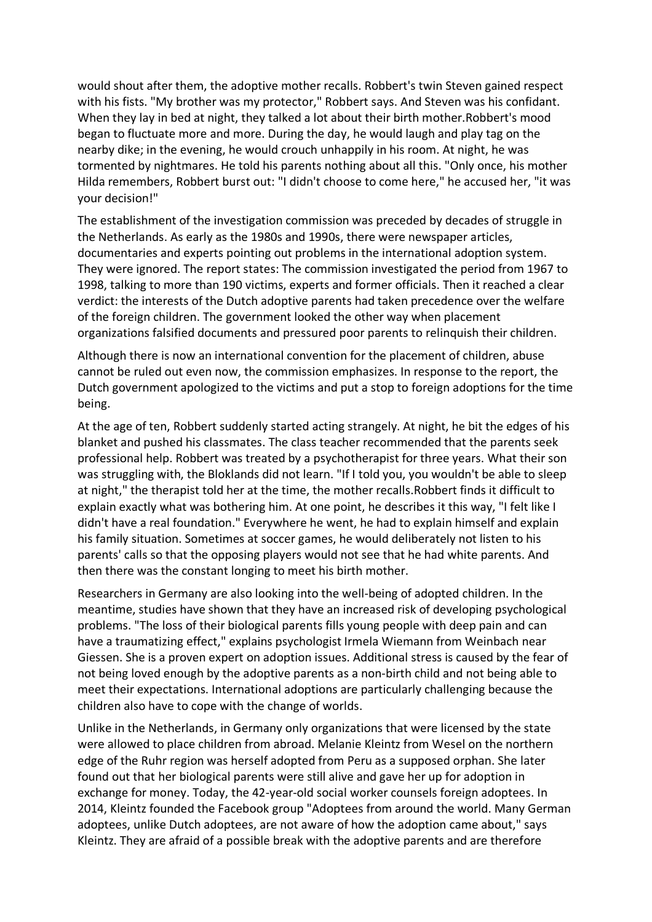would shout after them, the adoptive mother recalls. Robbert's twin Steven gained respect with his fists. "My brother was my protector," Robbert says. And Steven was his confidant. When they lay in bed at night, they talked a lot about their birth mother.Robbert's mood began to fluctuate more and more. During the day, he would laugh and play tag on the nearby dike; in the evening, he would crouch unhappily in his room. At night, he was tormented by nightmares. He told his parents nothing about all this. "Only once, his mother Hilda remembers, Robbert burst out: "I didn't choose to come here," he accused her, "it was your decision!"

The establishment of the investigation commission was preceded by decades of struggle in the Netherlands. As early as the 1980s and 1990s, there were newspaper articles, documentaries and experts pointing out problems in the international adoption system. They were ignored. The report states: The commission investigated the period from 1967 to 1998, talking to more than 190 victims, experts and former officials. Then it reached a clear verdict: the interests of the Dutch adoptive parents had taken precedence over the welfare of the foreign children. The government looked the other way when placement organizations falsified documents and pressured poor parents to relinquish their children.

Although there is now an international convention for the placement of children, abuse cannot be ruled out even now, the commission emphasizes. In response to the report, the Dutch government apologized to the victims and put a stop to foreign adoptions for the time being.

At the age of ten, Robbert suddenly started acting strangely. At night, he bit the edges of his blanket and pushed his classmates. The class teacher recommended that the parents seek professional help. Robbert was treated by a psychotherapist for three years. What their son was struggling with, the Bloklands did not learn. "If I told you, you wouldn't be able to sleep at night," the therapist told her at the time, the mother recalls.Robbert finds it difficult to explain exactly what was bothering him. At one point, he describes it this way, "I felt like I didn't have a real foundation." Everywhere he went, he had to explain himself and explain his family situation. Sometimes at soccer games, he would deliberately not listen to his parents' calls so that the opposing players would not see that he had white parents. And then there was the constant longing to meet his birth mother.

Researchers in Germany are also looking into the well-being of adopted children. In the meantime, studies have shown that they have an increased risk of developing psychological problems. "The loss of their biological parents fills young people with deep pain and can have a traumatizing effect," explains psychologist Irmela Wiemann from Weinbach near Giessen. She is a proven expert on adoption issues. Additional stress is caused by the fear of not being loved enough by the adoptive parents as a non-birth child and not being able to meet their expectations. International adoptions are particularly challenging because the children also have to cope with the change of worlds.

Unlike in the Netherlands, in Germany only organizations that were licensed by the state were allowed to place children from abroad. Melanie Kleintz from Wesel on the northern edge of the Ruhr region was herself adopted from Peru as a supposed orphan. She later found out that her biological parents were still alive and gave her up for adoption in exchange for money. Today, the 42-year-old social worker counsels foreign adoptees. In 2014, Kleintz founded the Facebook group "Adoptees from around the world. Many German adoptees, unlike Dutch adoptees, are not aware of how the adoption came about," says Kleintz. They are afraid of a possible break with the adoptive parents and are therefore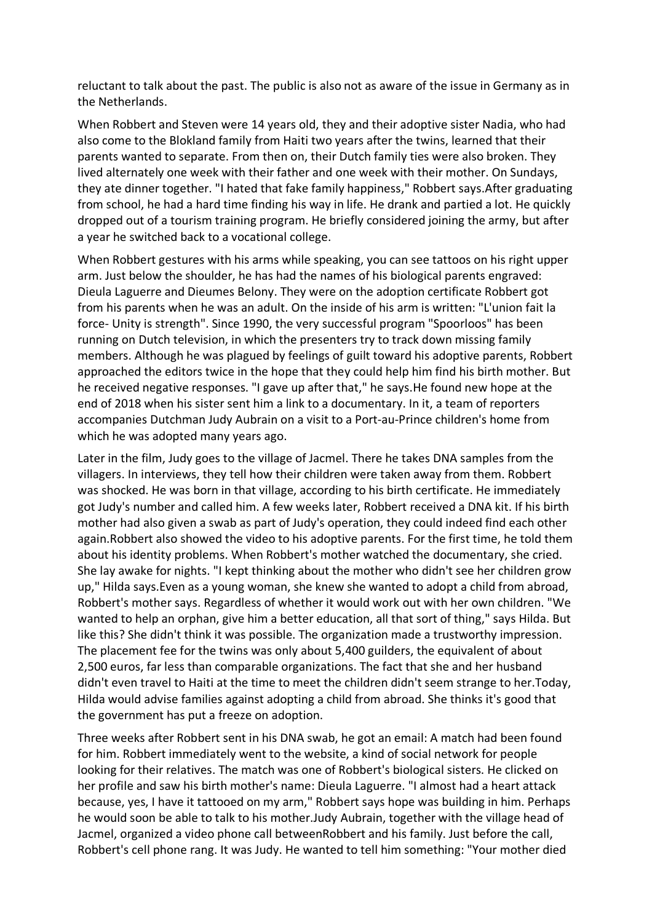reluctant to talk about the past. The public is also not as aware of the issue in Germany as in the Netherlands.

When Robbert and Steven were 14 years old, they and their adoptive sister Nadia, who had also come to the Blokland family from Haiti two years after the twins, learned that their parents wanted to separate. From then on, their Dutch family ties were also broken. They lived alternately one week with their father and one week with their mother. On Sundays, they ate dinner together. "I hated that fake family happiness," Robbert says.After graduating from school, he had a hard time finding his way in life. He drank and partied a lot. He quickly dropped out of a tourism training program. He briefly considered joining the army, but after a year he switched back to a vocational college.

When Robbert gestures with his arms while speaking, you can see tattoos on his right upper arm. Just below the shoulder, he has had the names of his biological parents engraved: Dieula Laguerre and Dieumes Belony. They were on the adoption certificate Robbert got from his parents when he was an adult. On the inside of his arm is written: "L'union fait la force- Unity is strength". Since 1990, the very successful program "Spoorloos" has been running on Dutch television, in which the presenters try to track down missing family members. Although he was plagued by feelings of guilt toward his adoptive parents, Robbert approached the editors twice in the hope that they could help him find his birth mother. But he received negative responses. "I gave up after that," he says.He found new hope at the end of 2018 when his sister sent him a link to a documentary. In it, a team of reporters accompanies Dutchman Judy Aubrain on a visit to a Port-au-Prince children's home from which he was adopted many years ago.

Later in the film, Judy goes to the village of Jacmel. There he takes DNA samples from the villagers. In interviews, they tell how their children were taken away from them. Robbert was shocked. He was born in that village, according to his birth certificate. He immediately got Judy's number and called him. A few weeks later, Robbert received a DNA kit. If his birth mother had also given a swab as part of Judy's operation, they could indeed find each other again.Robbert also showed the video to his adoptive parents. For the first time, he told them about his identity problems. When Robbert's mother watched the documentary, she cried. She lay awake for nights. "I kept thinking about the mother who didn't see her children grow up," Hilda says.Even as a young woman, she knew she wanted to adopt a child from abroad, Robbert's mother says. Regardless of whether it would work out with her own children. "We wanted to help an orphan, give him a better education, all that sort of thing," says Hilda. But like this? She didn't think it was possible. The organization made a trustworthy impression. The placement fee for the twins was only about 5,400 guilders, the equivalent of about 2,500 euros, far less than comparable organizations. The fact that she and her husband didn't even travel to Haiti at the time to meet the children didn't seem strange to her.Today, Hilda would advise families against adopting a child from abroad. She thinks it's good that the government has put a freeze on adoption.

Three weeks after Robbert sent in his DNA swab, he got an email: A match had been found for him. Robbert immediately went to the website, a kind of social network for people looking for their relatives. The match was one of Robbert's biological sisters. He clicked on her profile and saw his birth mother's name: Dieula Laguerre. "I almost had a heart attack because, yes, I have it tattooed on my arm," Robbert says hope was building in him. Perhaps he would soon be able to talk to his mother.Judy Aubrain, together with the village head of Jacmel, organized a video phone call betweenRobbert and his family. Just before the call, Robbert's cell phone rang. It was Judy. He wanted to tell him something: "Your mother died